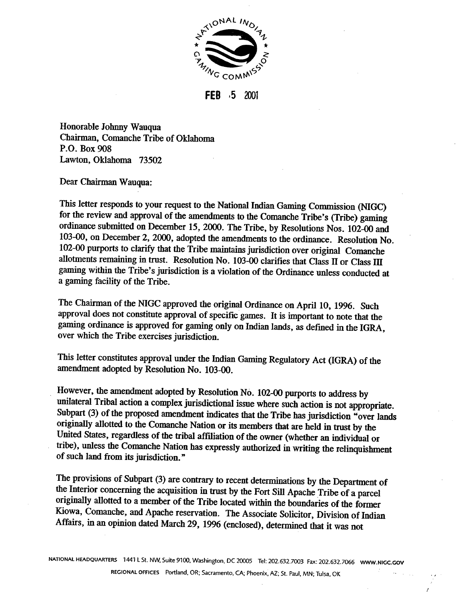

**FEB 55** X)Ot

Honorable Johnny Wauqua Chairman, Comanche Tribe of Oklahoma **P.O.** Box 908 Lawton, Oklahoma **73502** 

Dear Chairman Wauqua:

This letter responds to your request to the National Indian Gaming Commission (NIGC) for the review and approval of the amendments to the Comanche Tribe's (Tribe) gaming ordinance submitted on December 15,2000. The Tribe, by Resolutions Nos. 102-00 and 103-00, on December 2, 2000, adopted the amendments to the ordinance. Resolution No. 102-00 purports to clarify that the Tribe maintains jurisdiction over original Comanche allotments remaining in trust. Resolution No. 103-00 clarifies that Class **II** or Class III gaming within the Tribe's jurisdiction is a violation of the Ordinance unless conducted at a gaming facility of the Tribe.

The Chairman of the NIGC approved the original Ordinance on April 10, **1996.** Such approval does not constitute approval of specific games. It is important to note that the gaming ordinance is approved for gaming only on Indian lands, as defined in the IGRA, over which the Tribe exercises jurisdiction.

This letter constitutes approval under the Indian Gaming Regulatory Act (IGRA) of the amendment adopted by Resolution No. 103-00.

However, the amendment adopted by Resolution No. 102-00 purports to address by unilateral Tribal action a complex jurisdictional issue where such action is not appropriate. Subpart (3) of the proposed amendment indicates that the Tribe has jurisdiction "over lands originally allotted to the Comanche Nation or its members that are held in trust by the United States, regardless of the tribal affiliation of the owner (whether an individual or tribe), unless the Comanche Nation has expressly authorized in writing the relinquishment of such land from its jurisdiction."

The provisions of Subpart (3) are contrary to recent determinations by the Department of the Interior concerning the acquisition in trust by the Fort Sill Apache Tribe of a parcel originally allotted to a member of the Tribe located within **the** boundaries of the former Kiowa, Comanche, and Apache reservation. The Associate Solicitor, Division of Indian Affairs, in an opinion dated March 29, **1996** (enclosed), determined that it was not

**NATIONAL HEADQUARTERS 1441 L St.** NW. **Suite 9100. Washington, DC 20005 Tel:** 202.632.7003 **Fax:** 202.632.7066 **WWW.NlCC.GOV** 

**REGIONAL OFFICES Portland. OR; Sacramento. CA;** phoenix; **AZ; St. Paul. MN; Tulsa. OK** .>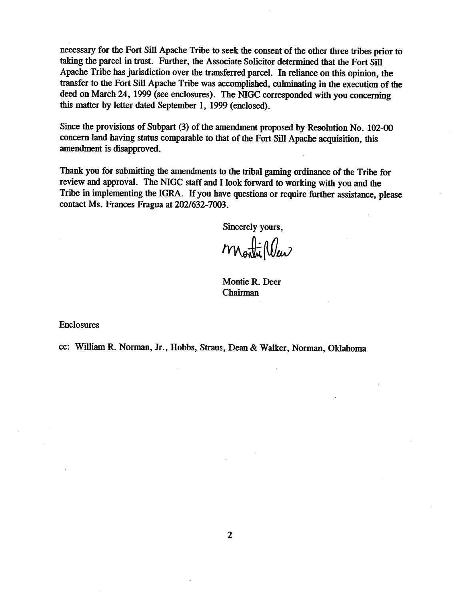necessary for the Fort Sill Apache Triie to seek the consent of the other **three** tribes prior to taking the parcel in trust. Further, the Associate Solicitor determined that the Fort **Sill**  Apache Tribe has jurisdiction over the transferred parcel. In reliance on this opinion, the transfer to the Fort Sill Apache Tribe was accomplished, culminating in the execution of the deed on March **24, 1999** (see enclosures). The MGC corresponded with you concerning this matter by letter dated September 1, **1999** (enclosed).

**Since** the provisions of Subpart (3) of the amendment proposed by Resolution No. 102-00 concern land having status comparable to that of the Fort Sill Apache acquisition, this amendment is disapproved.

**Thank** you for submitting the amendments to the tribal gaming ordinance of the Tribe for review and approval. The **NIGC** staff and I look forward to working with you and the Tribe in implementing the **IGRA.** If you have questions or require further assistance, please contact Ms. Frances Fragua at **2021632-7003.** 

Sincerely yours,

Monti Wew

Montie **R.** Deer Chairman

Enclosures

cc: William R. Norman, Jr., Hobbs, Straus, Dean & Walker, **Norman,** Oklahoma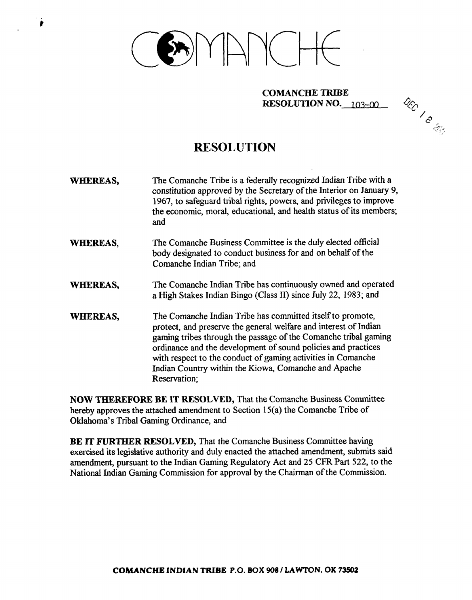

## **COMANCHE TRIBE RESOLUTION NO.**  $103 - 00$



## **RESOLUTION**

- WHEREAS, The Comanche Tribe is a federally recognized Indian Tribe with a constitution approved by the Secretary of the Interior on January 9, 1967, to safeguard tribal rights, powers, and privileges to improve the economic, moral, educational, and health status of its members; and
- WHEREAS, The Comanche Business Committee is the duly elected official body designated to conduct business for and on behalf of the Comanche Indian Tribe; and
- WHEREAS, The Comanche Indian Tribe has continuously owned and operated a High Stakes Indian Bingo (Class 11) since July 22, 1983; and
- WHEREAS, The Comanche Indian Tribe has committed itself to promote, protect, and preserve the general welfare and interest of Indian gaming tribes through the passage of the Comanche tribal gaming ordinance and the development of sound policies and practices with respect to the conduct of gaming activities in Comanche Indian Country within the Kiowa, Comanche and Apache Reservation;

**NOW THEREFORE** BE **IT** RESOLVED, That the Comanche Business Committee hereby approves the attached amendment to Section 15(a) the Comanche Tribe of Oklahoma's Tribal Gaming Ordinance, and

**BE** IT **FURTHER** RESOLVED, That the Comanche Business Committee having exercised its legislative authority and duly enacted the attached amendment, submits said amendment, pursuant to the Indian Gaming Regulatory Act and 25 CFR Part 522, to the National Indian Gaming Commission for approval by the Chairman of the Commission.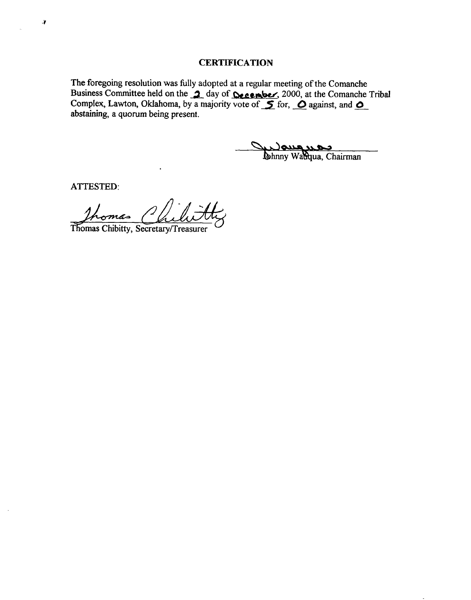**The foregoing resolution was fully adopted at a regular meeting of the Comanche**  Business Committee held on the **1** day of **December**, 2000, at the Comanche Tribal The foregoing resolution was fully adopted at a regular meeting of the Coman Business Committee held on the  $\alpha$  day of **Cecember**, 2000, at the Coman Complex, Lawton, Oklahoma, by a majority vote of  $\alpha$  for,  $\alpha$  against **abstaining, a quorum being present.** 

Current de Louis

**ATTESTED:** 

 $\boldsymbol{J}$ 

**n** Thomas Thomas Chibitty, Secretary/Treasurer